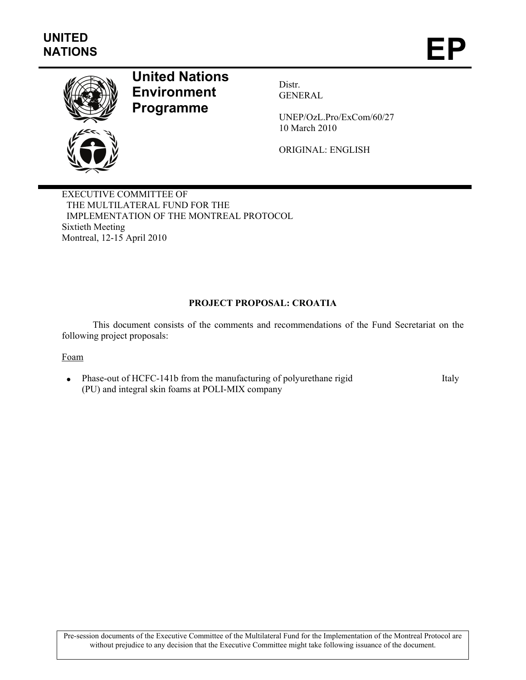

# **United Nations Environment Programme**

Distr. GENERAL

UNEP/OzL.Pro/ExCom/60/27 10 March 2010

ORIGINAL: ENGLISH

EXECUTIVE COMMITTEE OF THE MULTILATERAL FUND FOR THE IMPLEMENTATION OF THE MONTREAL PROTOCOL Sixtieth Meeting Montreal, 12-15 April 2010

# **PROJECT PROPOSAL: CROATIA**

This document consists of the comments and recommendations of the Fund Secretariat on the following project proposals:

## Foam

• Phase-out of HCFC-141b from the manufacturing of polyurethane rigid (PU) and integral skin foams at POLI-MIX company Italy

Pre-session documents of the Executive Committee of the Multilateral Fund for the Implementation of the Montreal Protocol are without prejudice to any decision that the Executive Committee might take following issuance of the document.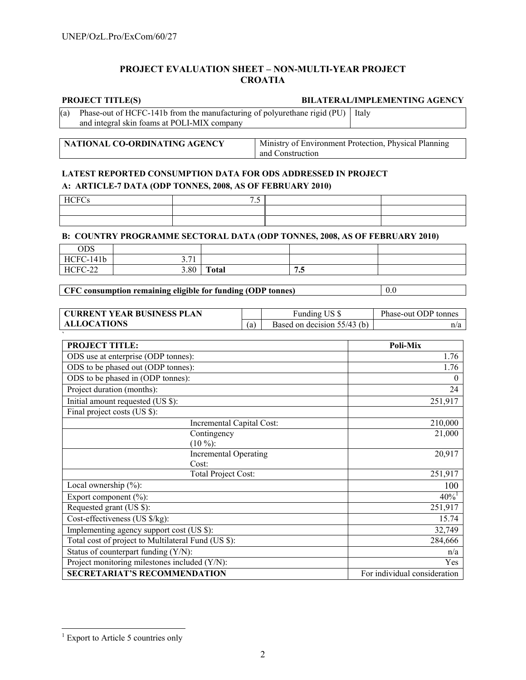# **PROJECT EVALUATION SHEET – NON-MULTI-YEAR PROJECT CROATIA**

#### **PROJECT TITLE(S) BILATERAL/IMPLEMENTING AGENCY**

(a) Phase-out of HCFC-141b from the manufacturing of polyurethane rigid (PU) Italy and integral skin foams at POLI-MIX company

| NATIONAL CO-ORDINATING AGENCY | Ministry of Environment Protection, Physical Planning |  |
|-------------------------------|-------------------------------------------------------|--|
|                               | and Construction                                      |  |

# **LATEST REPORTED CONSUMPTION DATA FOR ODS ADDRESSED IN PROJECT A: ARTICLE-7 DATA (ODP TONNES, 2008, AS OF FEBRUARY 2010)**

| $\overline{\phantom{0}}$<br>$\cdot$ |  |
|-------------------------------------|--|
|                                     |  |
|                                     |  |

## **B: COUNTRY PROGRAMME SECTORAL DATA (ODP TONNES, 2008, AS OF FEBRUARY 2010)**

| ODS             |               |              |               |  |
|-----------------|---------------|--------------|---------------|--|
| C-141b<br>HCFC- | $-71$<br>J.11 |              |               |  |
| HCFC-22         | 3.80          | <b>Total</b> | - -<br>$\sim$ |  |

# **CFC consumption remaining eligible for funding (ODP tonnes)** 0.0

| <b>CURRENT YEAR BUSINESS PLAN</b> |     | Funding US \$               | Phase-out ODP tonnes |
|-----------------------------------|-----|-----------------------------|----------------------|
| <b>ALLOCATIONS</b>                | (a) | Based on decision 55/43 (b) | n/a                  |

| <b>PROJECT TITLE:</b>                               | Poli-Mix                     |
|-----------------------------------------------------|------------------------------|
| ODS use at enterprise (ODP tonnes):                 | 1.76                         |
| ODS to be phased out (ODP tonnes):                  | 1.76                         |
| ODS to be phased in (ODP tonnes):                   | 0                            |
| Project duration (months):                          | 24                           |
| Initial amount requested (US \$):                   | 251,917                      |
| Final project costs (US \$):                        |                              |
| Incremental Capital Cost:                           | 210,000                      |
| Contingency                                         | 21,000                       |
| $(10\%)$ :                                          |                              |
| <b>Incremental Operating</b>                        | 20,917                       |
| Cost:                                               |                              |
| <b>Total Project Cost:</b>                          | 251,917                      |
| Local ownership $(\%)$ :                            | 100                          |
| Export component (%):                               | $40\%$ <sup>1</sup>          |
| Requested grant (US \$):                            | 251,917                      |
| Cost-effectiveness (US \$/kg):                      | 15.74                        |
| Implementing agency support cost (US \$):           | 32,749                       |
| Total cost of project to Multilateral Fund (US \$): | 284,666                      |
| Status of counterpart funding (Y/N):                | n/a                          |
| Project monitoring milestones included $(Y/N)$ :    | Yes                          |
| <b>SECRETARIAT'S RECOMMENDATION</b>                 | For individual consideration |

 1 Export to Article 5 countries only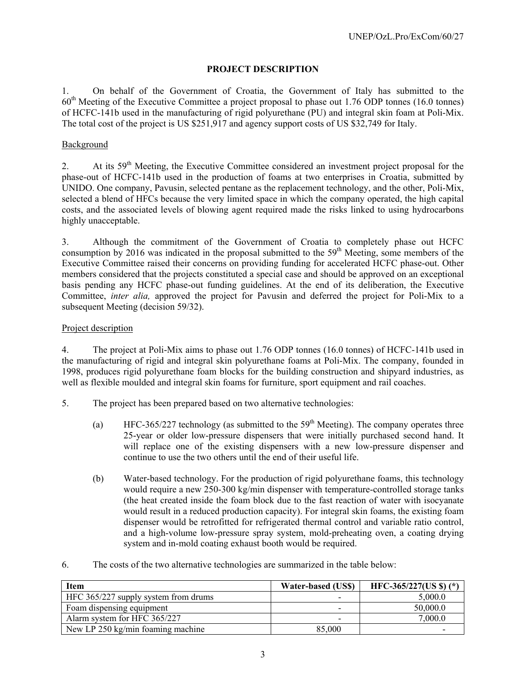# **PROJECT DESCRIPTION**

1. On behalf of the Government of Croatia, the Government of Italy has submitted to the 60th Meeting of the Executive Committee a project proposal to phase out 1.76 ODP tonnes (16.0 tonnes) of HCFC-141b used in the manufacturing of rigid polyurethane (PU) and integral skin foam at Poli-Mix. The total cost of the project is US \$251,917 and agency support costs of US \$32,749 for Italy.

# Background

2. At its 59<sup>th</sup> Meeting, the Executive Committee considered an investment project proposal for the phase-out of HCFC-141b used in the production of foams at two enterprises in Croatia, submitted by UNIDO. One company, Pavusin, selected pentane as the replacement technology, and the other, Poli-Mix, selected a blend of HFCs because the very limited space in which the company operated, the high capital costs, and the associated levels of blowing agent required made the risks linked to using hydrocarbons highly unacceptable.

3. Although the commitment of the Government of Croatia to completely phase out HCFC consumption by 2016 was indicated in the proposal submitted to the  $59<sup>th</sup>$  Meeting, some members of the Executive Committee raised their concerns on providing funding for accelerated HCFC phase-out. Other members considered that the projects constituted a special case and should be approved on an exceptional basis pending any HCFC phase-out funding guidelines. At the end of its deliberation, the Executive Committee, *inter alia,* approved the project for Pavusin and deferred the project for Poli-Mix to a subsequent Meeting (decision 59/32).

# Project description

4. The project at Poli-Mix aims to phase out 1.76 ODP tonnes (16.0 tonnes) of HCFC-141b used in the manufacturing of rigid and integral skin polyurethane foams at Poli-Mix. The company, founded in 1998, produces rigid polyurethane foam blocks for the building construction and shipyard industries, as well as flexible moulded and integral skin foams for furniture, sport equipment and rail coaches.

- 5. The project has been prepared based on two alternative technologies:
	- (a) HFC-365/227 technology (as submitted to the  $59<sup>th</sup>$  Meeting). The company operates three 25-year or older low-pressure dispensers that were initially purchased second hand. It will replace one of the existing dispensers with a new low-pressure dispenser and continue to use the two others until the end of their useful life.
	- (b) Water-based technology. For the production of rigid polyurethane foams, this technology would require a new 250-300 kg/min dispenser with temperature-controlled storage tanks (the heat created inside the foam block due to the fast reaction of water with isocyanate would result in a reduced production capacity). For integral skin foams, the existing foam dispenser would be retrofitted for refrigerated thermal control and variable ratio control, and a high-volume low-pressure spray system, mold-preheating oven, a coating drying system and in-mold coating exhaust booth would be required.
- 6. The costs of the two alternative technologies are summarized in the table below:

| <b>Item</b>                          | Water-based (US\$) | HFC-365/227(US \$) $(*)$ |
|--------------------------------------|--------------------|--------------------------|
| HFC 365/227 supply system from drums |                    | 5.000.0                  |
| Foam dispensing equipment            | -                  | 50,000.0                 |
| Alarm system for HFC 365/227         | -                  | 7,000.0                  |
| New LP 250 kg/min foaming machine    | 85,000             |                          |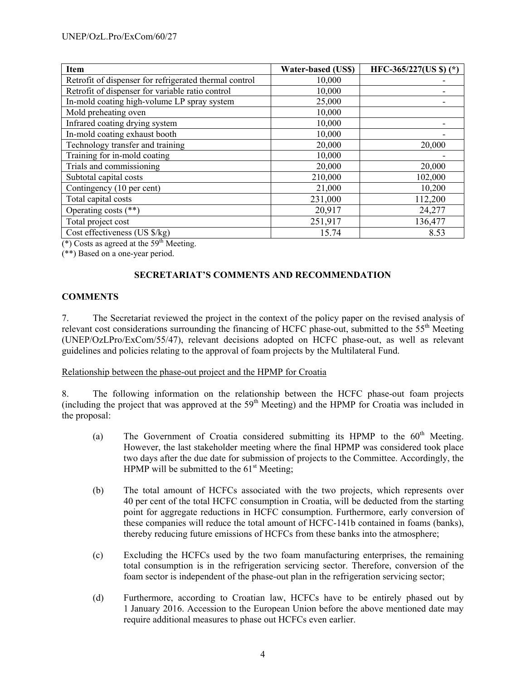| <b>Item</b>                                            | <b>Water-based (US\$)</b> | HFC-365/227(US \$)(*) |
|--------------------------------------------------------|---------------------------|-----------------------|
| Retrofit of dispenser for refrigerated thermal control | 10,000                    |                       |
| Retrofit of dispenser for variable ratio control       | 10,000                    |                       |
| In-mold coating high-volume LP spray system            | 25,000                    |                       |
| Mold preheating oven                                   | 10,000                    |                       |
| Infrared coating drying system                         | 10,000                    |                       |
| In-mold coating exhaust booth                          | 10,000                    |                       |
| Technology transfer and training                       | 20,000                    | 20,000                |
| Training for in-mold coating                           | 10,000                    |                       |
| Trials and commissioning                               | 20,000                    | 20,000                |
| Subtotal capital costs                                 | 210,000                   | 102,000               |
| Contingency (10 per cent)                              | 21,000                    | 10,200                |
| Total capital costs                                    | 231,000                   | 112,200               |
| Operating costs $(**)$                                 | 20,917                    | 24,277                |
| Total project cost                                     | 251,917                   | 136,477               |
| Cost effectiveness (US $\frac{8}{kg}$ )                | 15.74                     | 8.53                  |

(\*) Costs as agreed at the  $59<sup>th</sup>$  Meeting.

(\*\*) Based on a one-year period.

## **SECRETARIAT'S COMMENTS AND RECOMMENDATION**

## **COMMENTS**

7. The Secretariat reviewed the project in the context of the policy paper on the revised analysis of relevant cost considerations surrounding the financing of HCFC phase-out, submitted to the  $55<sup>th</sup>$  Meeting (UNEP/OzLPro/ExCom/55/47), relevant decisions adopted on HCFC phase-out, as well as relevant guidelines and policies relating to the approval of foam projects by the Multilateral Fund.

Relationship between the phase-out project and the HPMP for Croatia

8. The following information on the relationship between the HCFC phase-out foam projects (including the project that was approved at the  $59<sup>th</sup>$  Meeting) and the HPMP for Croatia was included in the proposal:

- (a) The Government of Croatia considered submitting its HPMP to the  $60<sup>th</sup>$  Meeting. However, the last stakeholder meeting where the final HPMP was considered took place two days after the due date for submission of projects to the Committee. Accordingly, the HPMP will be submitted to the  $61<sup>st</sup>$  Meeting;
- (b) The total amount of HCFCs associated with the two projects, which represents over 40 per cent of the total HCFC consumption in Croatia, will be deducted from the starting point for aggregate reductions in HCFC consumption. Furthermore, early conversion of these companies will reduce the total amount of HCFC-141b contained in foams (banks), thereby reducing future emissions of HCFCs from these banks into the atmosphere;
- (c) Excluding the HCFCs used by the two foam manufacturing enterprises, the remaining total consumption is in the refrigeration servicing sector. Therefore, conversion of the foam sector is independent of the phase-out plan in the refrigeration servicing sector;
- (d) Furthermore, according to Croatian law, HCFCs have to be entirely phased out by 1 January 2016. Accession to the European Union before the above mentioned date may require additional measures to phase out HCFCs even earlier.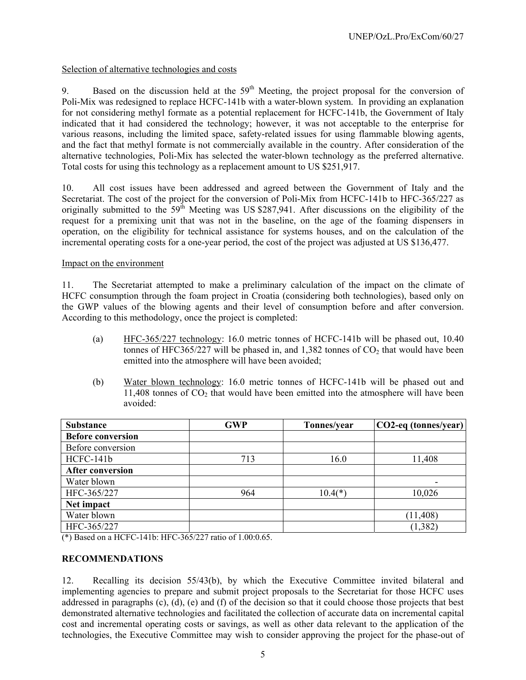# Selection of alternative technologies and costs

9. Based on the discussion held at the  $59<sup>th</sup>$  Meeting, the project proposal for the conversion of Poli-Mix was redesigned to replace HCFC-141b with a water-blown system. In providing an explanation for not considering methyl formate as a potential replacement for HCFC-141b, the Government of Italy indicated that it had considered the technology; however, it was not acceptable to the enterprise for various reasons, including the limited space, safety-related issues for using flammable blowing agents, and the fact that methyl formate is not commercially available in the country. After consideration of the alternative technologies, Poli-Mix has selected the water-blown technology as the preferred alternative. Total costs for using this technology as a replacement amount to US \$251,917.

10. All cost issues have been addressed and agreed between the Government of Italy and the Secretariat. The cost of the project for the conversion of Poli-Mix from HCFC-141b to HFC-365/227 as originally submitted to the  $59<sup>th</sup>$  Meeting was US \$287,941. After discussions on the eligibility of the request for a premixing unit that was not in the baseline, on the age of the foaming dispensers in operation, on the eligibility for technical assistance for systems houses, and on the calculation of the incremental operating costs for a one-year period, the cost of the project was adjusted at US \$136,477.

## Impact on the environment

11. The Secretariat attempted to make a preliminary calculation of the impact on the climate of HCFC consumption through the foam project in Croatia (considering both technologies), based only on the GWP values of the blowing agents and their level of consumption before and after conversion. According to this methodology, once the project is completed:

- (a) HFC-365/227 technology: 16.0 metric tonnes of HCFC-141b will be phased out, 10.40 tonnes of HFC365/227 will be phased in, and 1,382 tonnes of  $CO<sub>2</sub>$  that would have been emitted into the atmosphere will have been avoided;
- (b) Water blown technology: 16.0 metric tonnes of HCFC-141b will be phased out and  $11,408$  tonnes of  $CO<sub>2</sub>$  that would have been emitted into the atmosphere will have been avoided:

| <b>Substance</b>         | <b>GWP</b> | Tonnes/year | CO2-eq (tonnes/year) |
|--------------------------|------------|-------------|----------------------|
| <b>Before conversion</b> |            |             |                      |
| Before conversion        |            |             |                      |
| HCFC-141b                | 713        | 16.0        | 11,408               |
| <b>After conversion</b>  |            |             |                      |
| Water blown              |            |             |                      |
| HFC-365/227              | 964        | $10.4$ (*   | 10,026               |
| Net impact               |            |             |                      |
| Water blown              |            |             | (11, 408)            |
| HFC-365/227              |            |             | (1, 382)             |

(\*) Based on a HCFC-141b: HFC-365/227 ratio of 1.00:0.65.

# **RECOMMENDATIONS**

12. Recalling its decision 55/43(b), by which the Executive Committee invited bilateral and implementing agencies to prepare and submit project proposals to the Secretariat for those HCFC uses addressed in paragraphs (c), (d), (e) and (f) of the decision so that it could choose those projects that best demonstrated alternative technologies and facilitated the collection of accurate data on incremental capital cost and incremental operating costs or savings, as well as other data relevant to the application of the technologies, the Executive Committee may wish to consider approving the project for the phase-out of